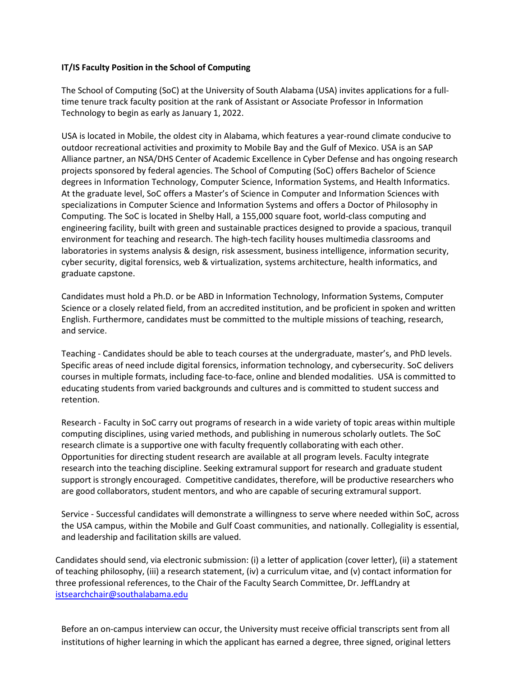## **IT/IS Faculty Position in the School of Computing**

The School of Computing (SoC) at the University of South Alabama (USA) invites applications for a fulltime tenure track faculty position at the rank of Assistant or Associate Professor in Information Technology to begin as early as January 1, 2022.

USA is located in Mobile, the oldest city in Alabama, which features a year-round climate conducive to outdoor recreational activities and proximity to Mobile Bay and the Gulf of Mexico. USA is an SAP Alliance partner, an NSA/DHS Center of Academic Excellence in Cyber Defense and has ongoing research projects sponsored by federal agencies. The School of Computing (SoC) offers Bachelor of Science degrees in Information Technology, Computer Science, Information Systems, and Health Informatics. At the graduate level, SoC offers a Master's of Science in Computer and Information Sciences with specializations in Computer Science and Information Systems and offers a Doctor of Philosophy in Computing. The SoC is located in Shelby Hall, a 155,000 square foot, world-class computing and engineering facility, built with green and sustainable practices designed to provide a spacious, tranquil environment for teaching and research. The high-tech facility houses multimedia classrooms and laboratories in systems analysis & design, risk assessment, business intelligence, information security, cyber security, digital forensics, web & virtualization, systems architecture, health informatics, and graduate capstone.

Candidates must hold a Ph.D. or be ABD in Information Technology, Information Systems, Computer Science or a closely related field, from an accredited institution, and be proficient in spoken and written English. Furthermore, candidates must be committed to the multiple missions of teaching, research, and service.

Teaching - Candidates should be able to teach courses at the undergraduate, master's, and PhD levels. Specific areas of need include digital forensics, information technology, and cybersecurity. SoC delivers courses in multiple formats, including face-to-face, online and blended modalities. USA is committed to educating students from varied backgrounds and cultures and is committed to student success and retention.

Research - Faculty in SoC carry out programs of research in a wide variety of topic areas within multiple computing disciplines, using varied methods, and publishing in numerous scholarly outlets. The SoC research climate is a supportive one with faculty frequently collaborating with each other. Opportunities for directing student research are available at all program levels. Faculty integrate research into the teaching discipline. Seeking extramural support for research and graduate student support is strongly encouraged. Competitive candidates, therefore, will be productive researchers who are good collaborators, student mentors, and who are capable of securing extramural support.

Service - Successful candidates will demonstrate a willingness to serve where needed within SoC, across the USA campus, within the Mobile and Gulf Coast communities, and nationally. Collegiality is essential, and leadership and facilitation skills are valued.

Candidates should send, via electronic submission: (i) a letter of application (cover letter), (ii) a statement of teaching philosophy, (iii) a research statement, (iv) a curriculum vitae, and (v) contact information for three professional references, to the Chair of the Faculty Search Committee, Dr. JeffLandry at [istsearchchair@southalabama.edu](mailto:istsearchchair@southalabama.edu)

Before an on-campus interview can occur, the University must receive official transcripts sent from all institutions of higher learning in which the applicant has earned a degree, three signed, original letters